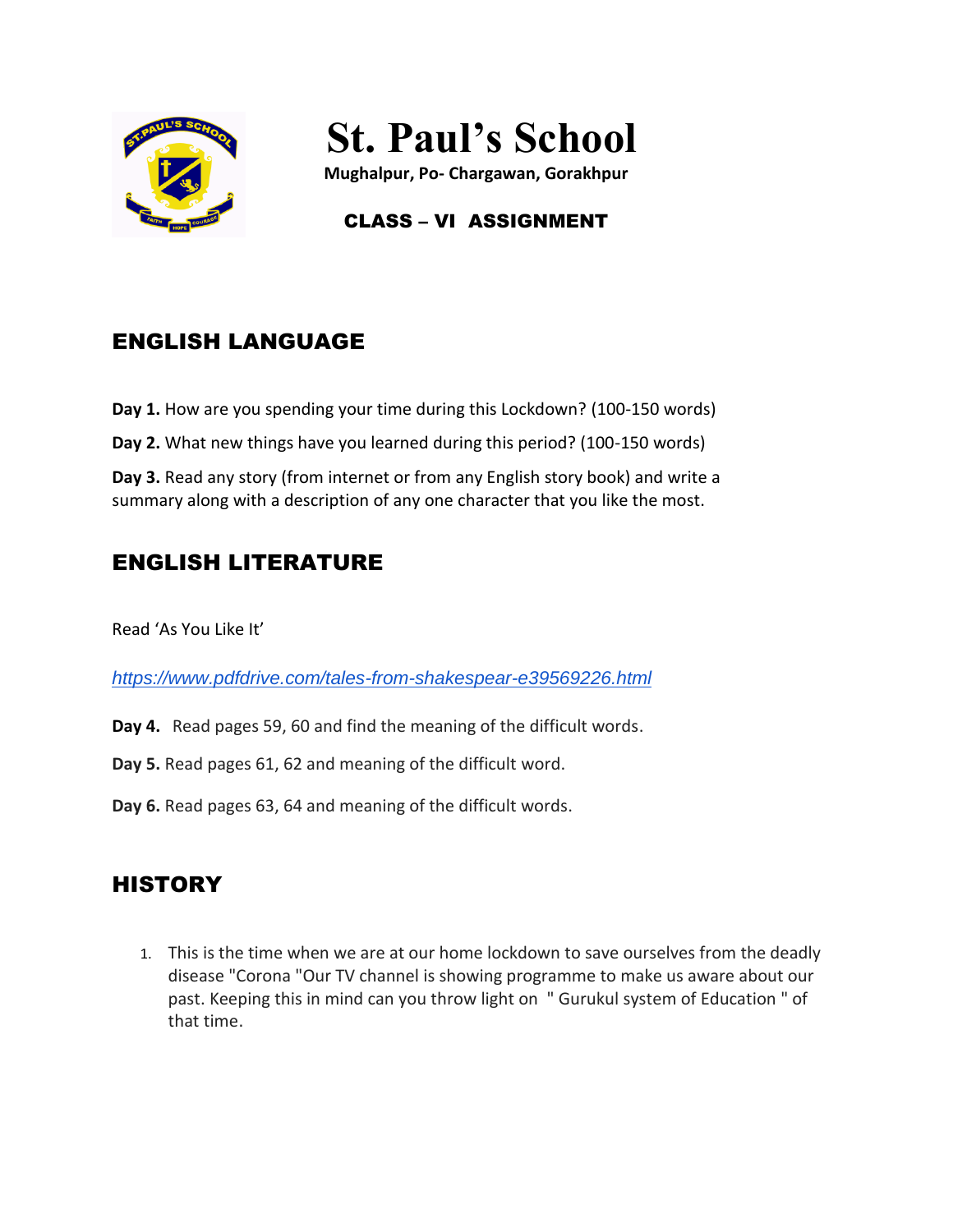

# **St. Paul's School**

**Mughalpur, Po- Chargawan, Gorakhpur**

## CLASS – VI ASSIGNMENT

# ENGLISH LANGUAGE

**Day 1.** How are you spending your time during this Lockdown? (100-150 words)

**Day 2.** What new things have you learned during this period? (100-150 words)

**Day 3.** Read any story (from internet or from any English story book) and write a summary along with a description of any one character that you like the most.

# ENGLISH LITERATURE

Read 'As You Like It'

*<https://www.pdfdrive.com/tales-from-shakespear-e39569226.html>*

- **Day 4.** Read pages 59, 60 and find the meaning of the difficult words.
- **Day 5.** Read pages 61, 62 and meaning of the difficult word.
- **Day 6.** Read pages 63, 64 and meaning of the difficult words.

## **HISTORY**

1. This is the time when we are at our home lockdown to save ourselves from the deadly disease "Corona "Our TV channel is showing programme to make us aware about our past. Keeping this in mind can you throw light on " Gurukul system of Education " of that time.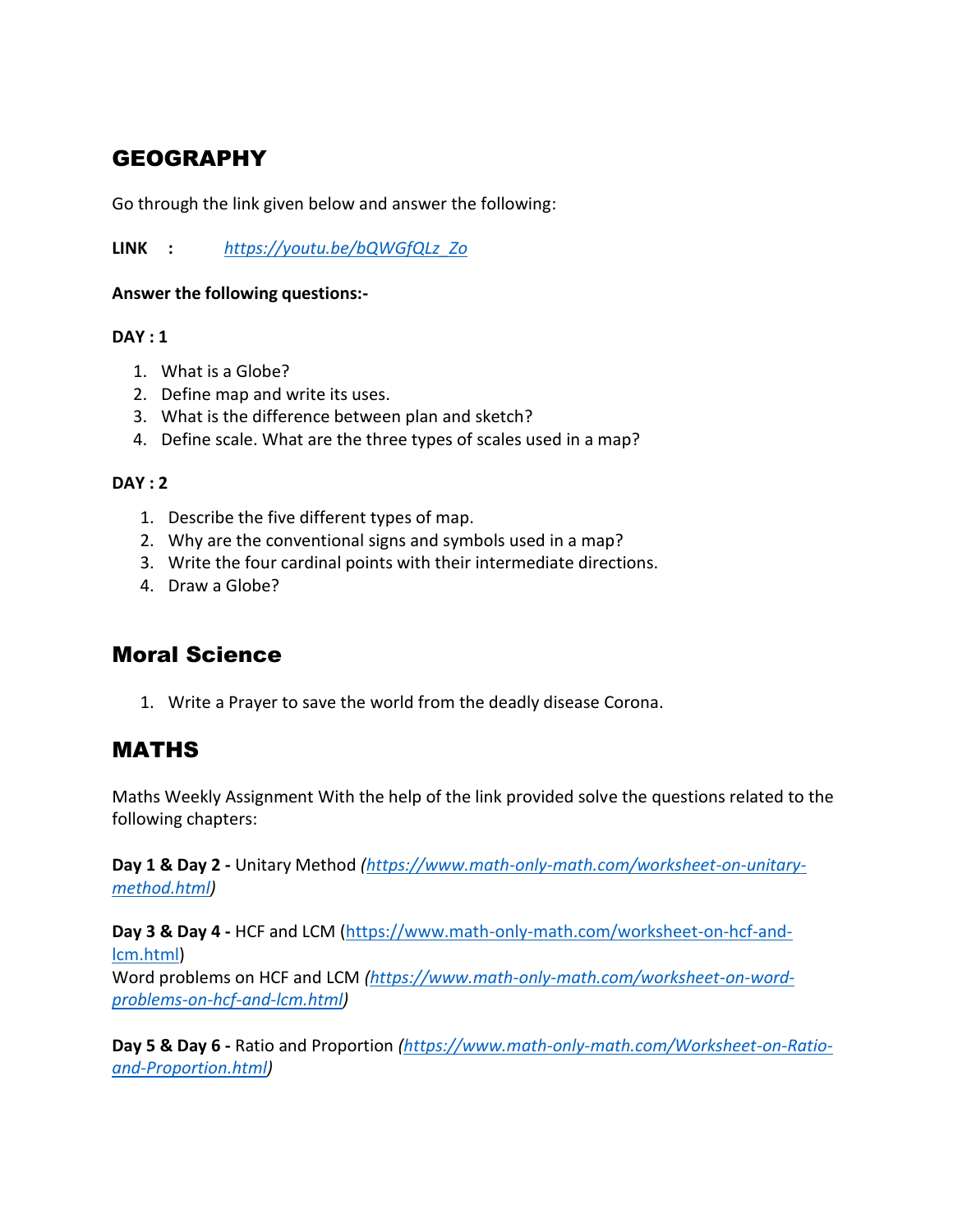# GEOGRAPHY

Go through the link given below and answer the following:

**LINK :** *[https://youtu.be/bQWGfQLz\\_Zo](https://youtu.be/bQWGfQLz_Zo)*

#### **Answer the following questions:-**

#### **DAY : 1**

- 1. What is a Globe?
- 2. Define map and write its uses.
- 3. What is the difference between plan and sketch?
- 4. Define scale. What are the three types of scales used in a map?

#### **DAY : 2**

- 1. Describe the five different types of map.
- 2. Why are the conventional signs and symbols used in a map?
- 3. Write the four cardinal points with their intermediate directions.
- 4. Draw a Globe?

## Moral Science

1. Write a Prayer to save the world from the deadly disease Corona.

## MATHS

Maths Weekly Assignment With the help of the link provided solve the questions related to the following chapters:

**Day 1 & Day 2 -** Unitary Method *[\(https://www.math-only-math.com/worksheet-on-unitary](https://www.math-only-math.com/worksheet-on-unitary-method.html)[method.html\)](https://www.math-only-math.com/worksheet-on-unitary-method.html)* 

**Day 3 & Day 4 -** HCF and LCM [\(https://www.math-only-math.com/worksheet-on-hcf-and](https://www.math-only-math.com/worksheet-on-hcf-and-lcm.html)[lcm.html\)](https://www.math-only-math.com/worksheet-on-hcf-and-lcm.html)

Word problems on HCF and LCM *[\(https://www.math-only-math.com/worksheet-on-word](https://www.math-only-math.com/worksheet-on-word-problems-on-hcf-and-lcm.html)[problems-on-hcf-and-lcm.html\)](https://www.math-only-math.com/worksheet-on-word-problems-on-hcf-and-lcm.html)* 

**Day 5 & Day 6 -** Ratio and Proportion *[\(https://www.math-only-math.com/Worksheet-on-Ratio](https://www.math-only-math.com/Worksheet-on-Ratio-and-Proportion.html)[and-Proportion.html\)](https://www.math-only-math.com/Worksheet-on-Ratio-and-Proportion.html)*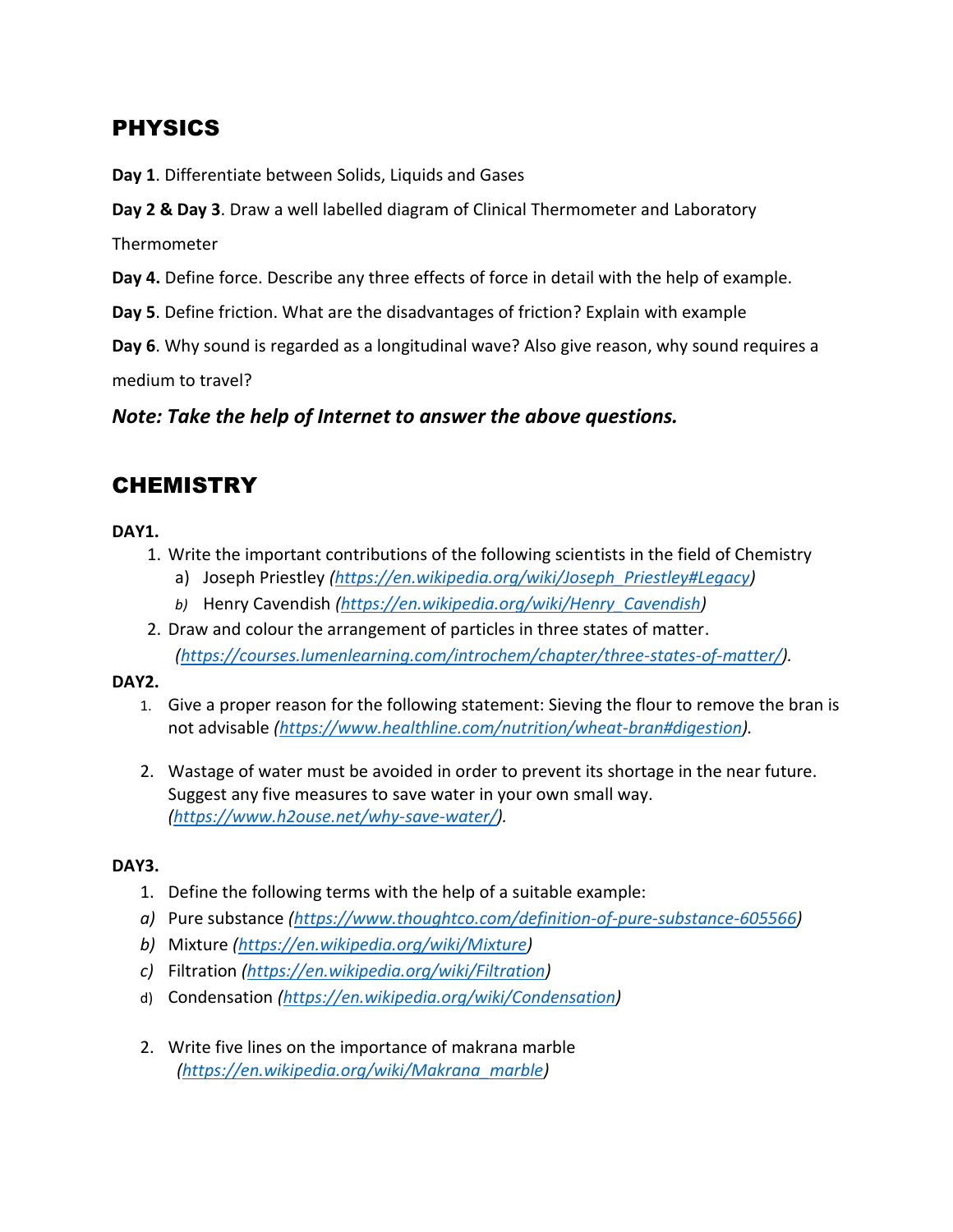## PHYSICS

**Day 1**. Differentiate between Solids, Liquids and Gases

**Day 2 & Day 3**. Draw a well labelled diagram of Clinical Thermometer and Laboratory

**Thermometer** 

**Day 4.** Define force. Describe any three effects of force in detail with the help of example.

**Day 5**. Define friction. What are the disadvantages of friction? Explain with example

**Day 6**. Why sound is regarded as a longitudinal wave? Also give reason, why sound requires a medium to travel?

*Note: Take the help of Internet to answer the above questions.*

## **CHEMISTRY**

#### **DAY1.**

- 1. Write the important contributions of the following scientists in the field of Chemistry
	- a) Joseph Priestley *[\(https://en.wikipedia.org/wiki/Joseph\\_Priestley#Legacy\)](https://en.wikipedia.org/wiki/Joseph_Priestley#Legacy)*
	- *b)* Henry Cavendish *[\(https://en.wikipedia.org/wiki/Henry\\_Cavendish\)](https://en.wikipedia.org/wiki/Henry_Cavendish)*
- 2. Draw and colour the arrangement of particles in three states of matter. *[\(https://courses.lumenlearning.com/introchem/chapter/three-states-of-matter/\)](https://courses.lumenlearning.com/introchem/chapter/three-states-of-matter/).*

#### **DAY2.**

- 1. Give a proper reason for the following statement: Sieving the flour to remove the bran is not advisable *[\(https://www.healthline.com/nutrition/wheat-bran#digestion\)](https://www.healthline.com/nutrition/wheat-bran#digestion).*
- 2. Wastage of water must be avoided in order to prevent its shortage in the near future. Suggest any five measures to save water in your own small way. *[\(https://www.h2ouse.net/why-save-water/\)](https://www.h2ouse.net/why-save-water/).*

#### **DAY3.**

- 1. Define the following terms with the help of a suitable example:
- *a)* Pure substance *[\(https://www.thoughtco.com/definition-of-pure-substance-605566\)](https://www.thoughtco.com/definition-of-pure-substance-605566)*
- *b)* Mixture *[\(https://en.wikipedia.org/wiki/Mixture\)](https://en.wikipedia.org/wiki/Mixture)*
- *c)* Filtration *[\(https://en.wikipedia.org/wiki/Filtration\)](https://en.wikipedia.org/wiki/Filtration)*
- d) Condensation *[\(https://en.wikipedia.org/wiki/Condensation\)](https://en.wikipedia.org/wiki/Condensation)*
- 2. Write five lines on the importance of makrana marble  *[\(https://en.wikipedia.org/wiki/Makrana\\_marble\)](https://en.wikipedia.org/wiki/Makrana_marble)*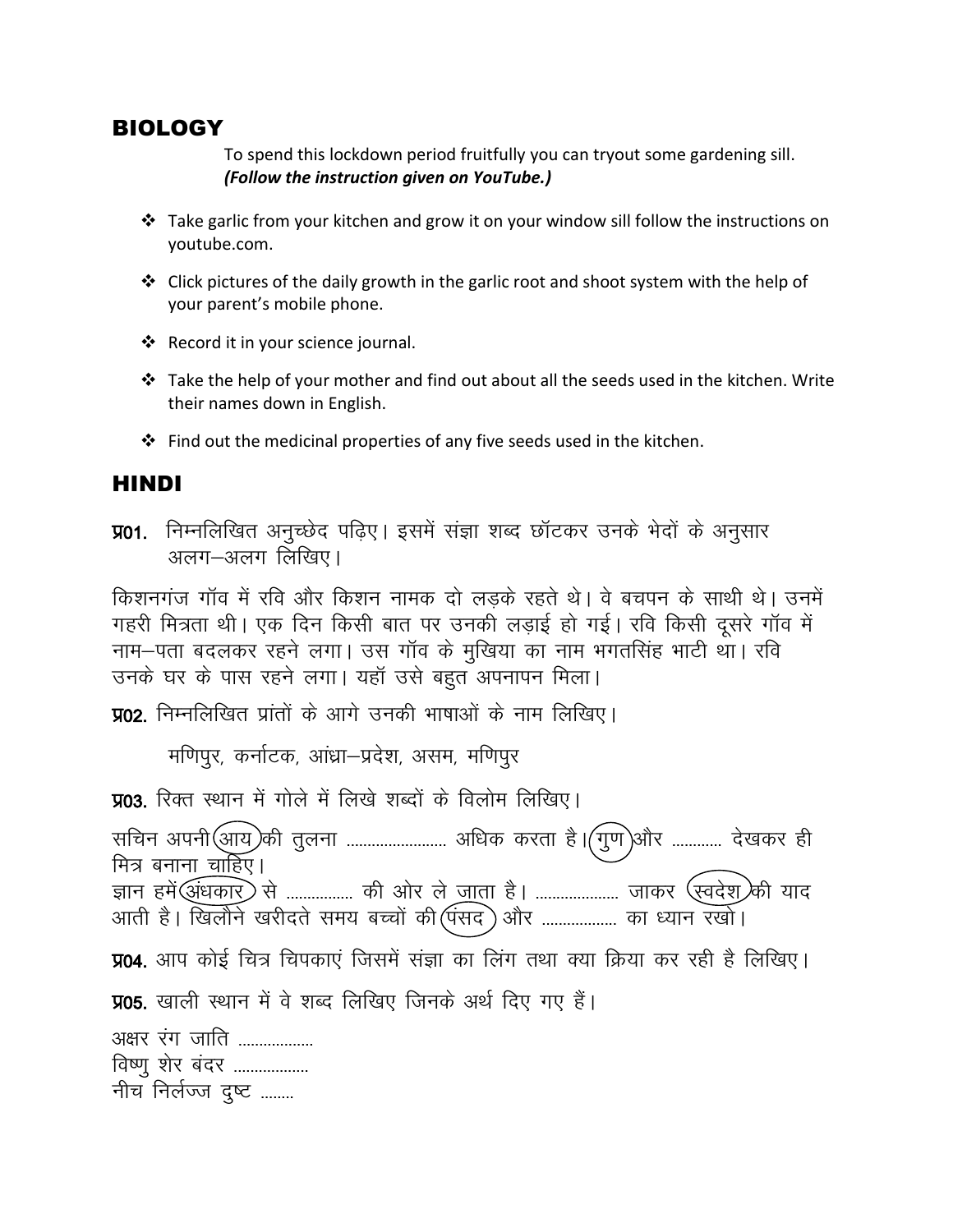#### BIOLOGY

To spend this lockdown period fruitfully you can tryout some gardening sill. *(Follow the instruction given on YouTube.)*

- Take garlic from your kitchen and grow it on your window sill follow the instructions on youtube.com.
- Click pictures of the daily growth in the garlic root and shoot system with the help of your parent's mobile phone.
- ❖ Record it in your science journal.
- $\cdot \cdot$  Take the help of your mother and find out about all the seeds used in the kitchen. Write their names down in English.
- $\cdot \cdot$  Find out the medicinal properties of any five seeds used in the kitchen.

## HINDI

**प्र01.** निम्नलिखित अनुच्छेद पढ़िए। इसमें संज्ञा शब्द छॉटकर उनके भेदों के अनुसार अलग–अलग लिखिए।

किशनगंज गॉव में रवि और किशन नामक दो लड़के रहते थे। वे बचपन के साथी थे। उनमें गहरी मित्रता थी। एक दिन किसी बात पर उनकी लड़ाई हो गई। रवि किसी दूसरे गॉव में नाम-पता बदलकर रहने लगा। उस गॉव के मुखिया का नाम भगतसिंह भाटी था। रवि उनके घर के पास रहने लगा। यहाँ उसे बहुत अपनापन मिला।

**प्र02.** निम्नलिखित प्रांतों के आगे उनकी भाषाओं के नाम लिखिए।

मणिपुर, कर्नाटक, आंध्रा-प्रदेश, असम, मणिपुर

**प्र03**. रिक्त स्थान में गोले में लिखे शब्दों के विलोम लिखिए। सचिन अपनी $\widehat{(\mathfrak{M}2)}$ की तुलना ........................ अधिक करता है। $\widehat{(\mathfrak{Y}0)}$ और ............ देखकर ही मित्र बनाना चाहिए। ज्ञान हमें $\bigcirc$ धंधकार् $\bigcirc$  से ................ की ओर ले <u>जा</u>ता है। ..................... जाकर  $\bigcirc$ स्वदेश् $\bigcirc$ की याद आती है। खिलौने खरीदते समय बच्चों की $(\hspace{-.05cm}$ पंसद $\hspace{-.05cm}$  ) और ……………… का ध्यान रखो। **प्र04.** आप कोई चित्र चिपकाएं जिसमें संज्ञा का लिंग तथा क्या क्रिया कर रही है लिखिए। **प्र05**. खाली स्थान में वे शब्द लिखिए जिनके अर्थ दिए गए हैं। <u>अक्षर रंग जाति ..................</u> विष्णु शेर बंदर .................. नीच निर्लज्ज दुष्ट ........